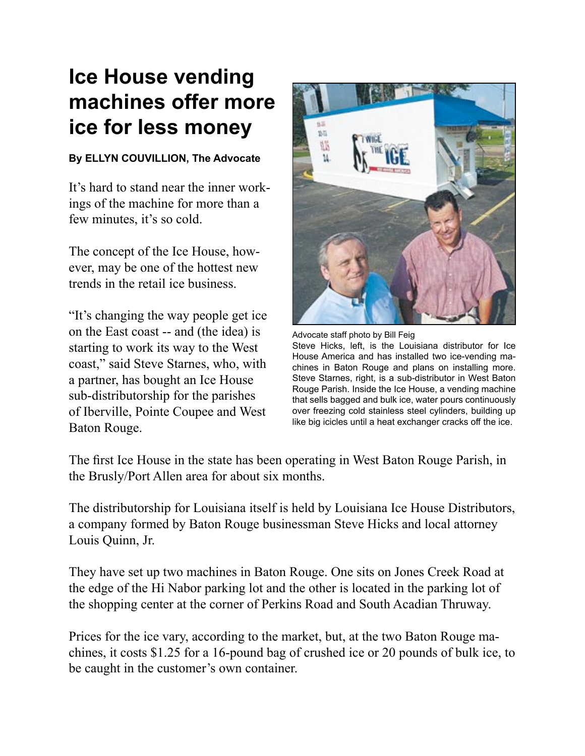## **Ice House vending machines offer more ice for less money**

## **By ELLYN COUVILLION, The Advocate**

It's hard to stand near the inner workings of the machine for more than a few minutes, it's so cold.

The concept of the Ice House, however, may be one of the hottest new trends in the retail ice business.

"It's changing the way people get ice on the East coast -- and (the idea) is starting to work its way to the West coast," said Steve Starnes, who, with a partner, has bought an Ice House sub-distributorship for the parishes of Iberville, Pointe Coupee and West Baton Rouge.



Advocate staff photo by Bill Feig Steve Hicks, left, is the Louisiana distributor for Ice House America and has installed two ice-vending machines in Baton Rouge and plans on installing more. Steve Starnes, right, is a sub-distributor in West Baton Rouge Parish. Inside the Ice House, a vending machine that sells bagged and bulk ice, water pours continuously over freezing cold stainless steel cylinders, building up like big icicles until a heat exchanger cracks off the ice.

The first Ice House in the state has been operating in West Baton Rouge Parish, in the Brusly/Port Allen area for about six months.

The distributorship for Louisiana itself is held by Louisiana Ice House Distributors, a company formed by Baton Rouge businessman Steve Hicks and local attorney Louis Quinn, Jr.

They have set up two machines in Baton Rouge. One sits on Jones Creek Road at the edge of the Hi Nabor parking lot and the other is located in the parking lot of the shopping center at the corner of Perkins Road and South Acadian Thruway.

Prices for the ice vary, according to the market, but, at the two Baton Rouge machines, it costs \$1.25 for a 16-pound bag of crushed ice or 20 pounds of bulk ice, to be caught in the customer's own container.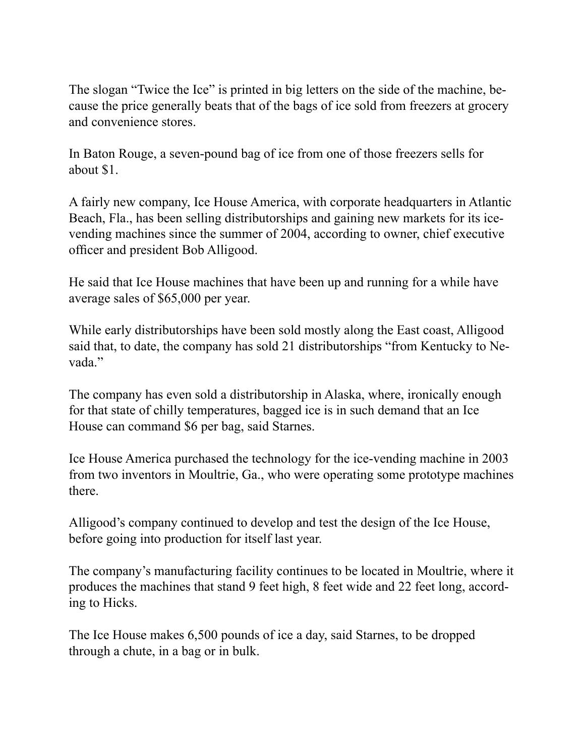The slogan "Twice the Ice" is printed in big letters on the side of the machine, because the price generally beats that of the bags of ice sold from freezers at grocery and convenience stores.

In Baton Rouge, a seven-pound bag of ice from one of those freezers sells for about \$1.

A fairly new company, Ice House America, with corporate headquarters in Atlantic Beach, Fla., has been selling distributorships and gaining new markets for its icevending machines since the summer of 2004, according to owner, chief executive officer and president Bob Alligood.

He said that Ice House machines that have been up and running for a while have average sales of \$65,000 per year.

While early distributorships have been sold mostly along the East coast, Alligood said that, to date, the company has sold 21 distributorships "from Kentucky to Nevada."

The company has even sold a distributorship in Alaska, where, ironically enough for that state of chilly temperatures, bagged ice is in such demand that an Ice House can command \$6 per bag, said Starnes.

Ice House America purchased the technology for the ice-vending machine in 2003 from two inventors in Moultrie, Ga., who were operating some prototype machines there.

Alligood's company continued to develop and test the design of the Ice House, before going into production for itself last year.

The company's manufacturing facility continues to be located in Moultrie, where it produces the machines that stand 9 feet high, 8 feet wide and 22 feet long, according to Hicks.

The Ice House makes 6,500 pounds of ice a day, said Starnes, to be dropped through a chute, in a bag or in bulk.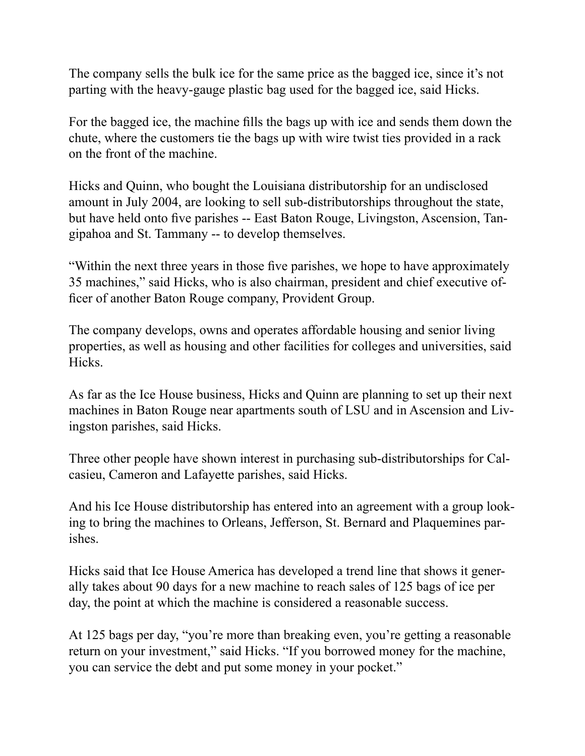The company sells the bulk ice for the same price as the bagged ice, since it's not parting with the heavy-gauge plastic bag used for the bagged ice, said Hicks.

For the bagged ice, the machine fills the bags up with ice and sends them down the chute, where the customers tie the bags up with wire twist ties provided in a rack on the front of the machine.

Hicks and Quinn, who bought the Louisiana distributorship for an undisclosed amount in July 2004, are looking to sell sub-distributorships throughout the state, but have held onto five parishes -- East Baton Rouge, Livingston, Ascension, Tangipahoa and St. Tammany -- to develop themselves.

"Within the next three years in those five parishes, we hope to have approximately 35 machines," said Hicks, who is also chairman, president and chief executive officer of another Baton Rouge company, Provident Group.

The company develops, owns and operates affordable housing and senior living properties, as well as housing and other facilities for colleges and universities, said Hicks.

As far as the Ice House business, Hicks and Quinn are planning to set up their next machines in Baton Rouge near apartments south of LSU and in Ascension and Livingston parishes, said Hicks.

Three other people have shown interest in purchasing sub-distributorships for Calcasieu, Cameron and Lafayette parishes, said Hicks.

And his Ice House distributorship has entered into an agreement with a group looking to bring the machines to Orleans, Jefferson, St. Bernard and Plaquemines parishes.

Hicks said that Ice House America has developed a trend line that shows it generally takes about 90 days for a new machine to reach sales of 125 bags of ice per day, the point at which the machine is considered a reasonable success.

At 125 bags per day, "you're more than breaking even, you're getting a reasonable return on your investment," said Hicks. "If you borrowed money for the machine, you can service the debt and put some money in your pocket."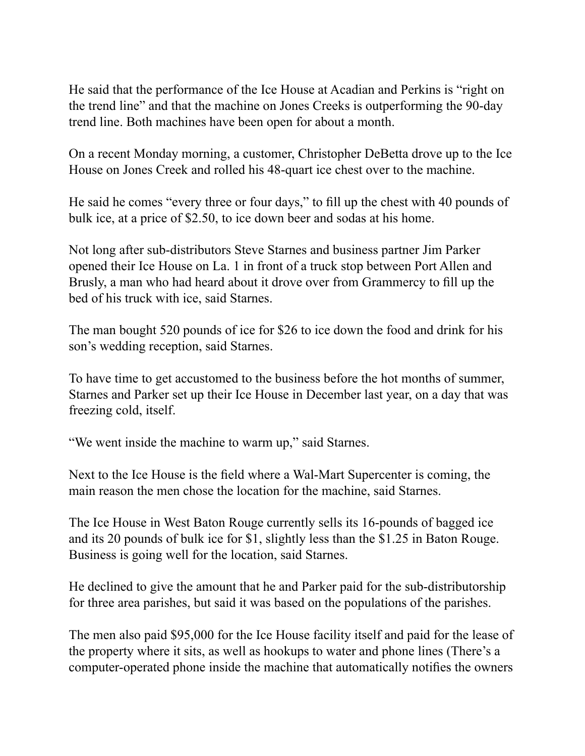He said that the performance of the Ice House at Acadian and Perkins is "right on the trend line" and that the machine on Jones Creeks is outperforming the 90-day trend line. Both machines have been open for about a month.

On a recent Monday morning, a customer, Christopher DeBetta drove up to the Ice House on Jones Creek and rolled his 48-quart ice chest over to the machine.

He said he comes "every three or four days," to fill up the chest with 40 pounds of bulk ice, at a price of \$2.50, to ice down beer and sodas at his home.

Not long after sub-distributors Steve Starnes and business partner Jim Parker opened their Ice House on La. 1 in front of a truck stop between Port Allen and Brusly, a man who had heard about it drove over from Grammercy to fill up the bed of his truck with ice, said Starnes.

The man bought 520 pounds of ice for \$26 to ice down the food and drink for his son's wedding reception, said Starnes.

To have time to get accustomed to the business before the hot months of summer, Starnes and Parker set up their Ice House in December last year, on a day that was freezing cold, itself.

"We went inside the machine to warm up," said Starnes.

Next to the Ice House is the field where a Wal-Mart Supercenter is coming, the main reason the men chose the location for the machine, said Starnes.

The Ice House in West Baton Rouge currently sells its 16-pounds of bagged ice and its 20 pounds of bulk ice for \$1, slightly less than the \$1.25 in Baton Rouge. Business is going well for the location, said Starnes.

He declined to give the amount that he and Parker paid for the sub-distributorship for three area parishes, but said it was based on the populations of the parishes.

The men also paid \$95,000 for the Ice House facility itself and paid for the lease of the property where it sits, as well as hookups to water and phone lines (There's a computer-operated phone inside the machine that automatically notifies the owners